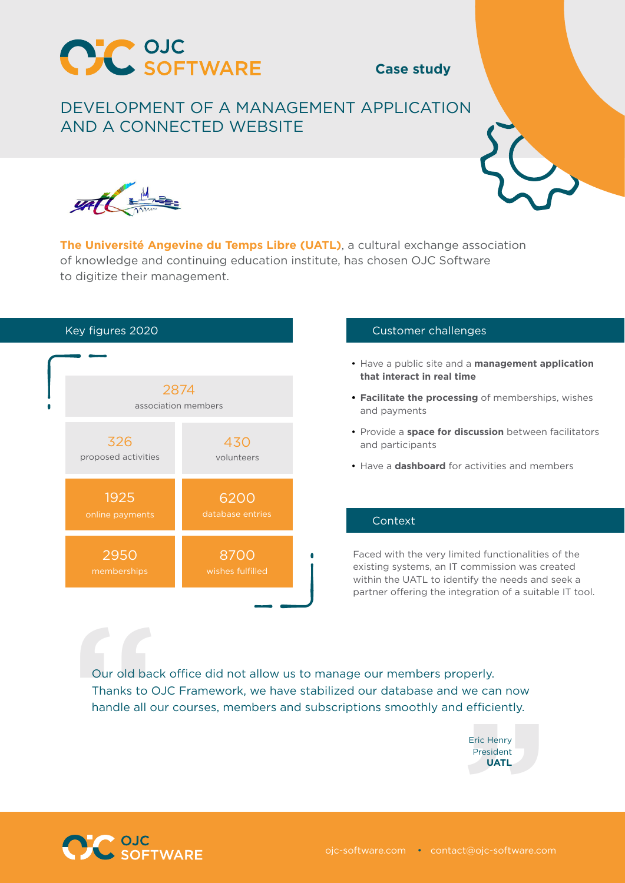

## **Case study**

# DEVELOPMENT OF A MANAGEMENT APPLICATION AND A CONNECTED WEBSITE



**The Université Angevine du Temps Libre (UATL)**, a cultural exchange association of knowledge and continuing education institute, has chosen OJC Software to digitize their management.



### Customer challenges

- Have a public site and a **management application that interact in real time**
- **• Facilitate the processing** of memberships, wishes and payments
- Provide a **space for discussion** between facilitators and participants
- Have a **dashboard** for activities and members

#### Context

Faced with the very limited functionalities of the existing systems, an IT commission was created within the UATL to identify the needs and seek a partner offering the integration of a suitable IT tool.

Our old back<br>Thanks to C<br>handle all o Our old back office did not allow us to manage our members properly. Thanks to OJC Framework, we have stabilized our database and we can now handle all our courses, members and subscriptions smoothly and efficiently.

l efficiently.<br>Eric Henry<br>President<br>**UATL**<br>Ct@ojc-software.com Eric Henry President **UATL**